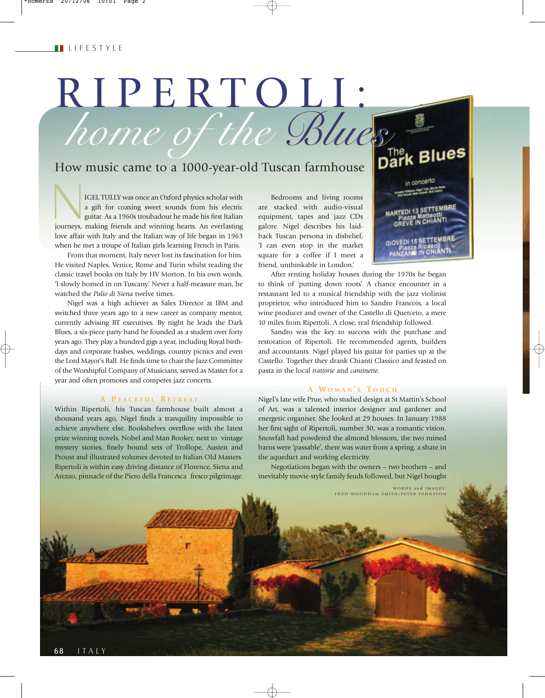# RIPERTOLI: *home of the Blues*

# How music came to a 1000-year-old Tuscan farmhouse

IGEL TULLY was once an Oxford physics scholar with a gift for coaxing sweet sounds from his electric guitar. As a 1960s troubadour he made his first Italian journeys, making friends and winning hearts. An everlasting love affair with Italy and the Italian way of life began in 1963 when he met a troupe of Italian girls learning French in Paris.

From that moment, Italy never lost its fascination for him. He visited Naples, Venice, Rome and Turin whilst reading the classic travel books on Italy by HV Morton. In his own words, 'I slowly homed in on Tuscany.' Never a half-measure man, he watched the *Palio di Siena* twelve times.

Nigel was a high achiever as Sales Director at IBM and switched three years ago to a new career as company mentor, currently advising BT executives. By night he leads the Dark Blues, a six-piece party band he founded as a student over forty years ago. They play a hundred gigs a year, including Royal birthdays and corporate bashes, weddings, country picnics and even the Lord Mayor's Ball. He finds time to chair the Jazz Committee of the Worshipful Company of Musicians, served as Master for a year and often promotes and comperes jazz concerts.

#### **A P EACEFUL R ETREAT**

Within Ripertoli, his Tuscan farmhouse built almost a thousand years ago, Nigel finds a tranquility impossible to achieve anywhere else. Bookshelves overflow with the latest prize winning novels, Nobel and Man Booker, next to vintage mystery stories, finely bound sets of Trollope, Austen and Proust and illustrated volumes devoted to Italian Old Masters. Ripertoli is within easy driving distance of Florence, Siena and Arezzo, pinnacle of the Piero della Francesca fresco pilgrimage.

Bedrooms and living rooms are stacked with audio-visual equipment, tapes and jazz CDs galore. Nigel describes his laidback Tuscan persona in disbelief, 'I can even stop in the market square for a coffee if I meet a friend, unthinkable in London.'

After renting holiday houses during the 1970s he began to think of 'putting down roots'. A chance encounter in a restaurant led to a musical friendship with the jazz violinist proprietor, who introduced him to Sandro Francois, a local wine producer and owner of the Castello di Querceto, a mere 10 miles from Ripertoli. A close, real friendship followed.

**Blues** 

in concerto

MARTEDI 13 SETTEMBR

GIOVEDI 15 SETTEMBRE

Sandro was the key to success with the purchase and restoration of Ripertoli. He recommended agents, builders and accountants. Nigel played his guitar for parties up at the Castello. Together they drank Chianti Classico and feasted on pasta in the local *trattorie* and *cantinette.*

## **A W OMAN ' S T OUCH**

Nigel's late wife Prue, who studied design at St Martin's School of Art, was a talented interior designer and gardener and energetic organiser. She looked at 29 houses. In January 1988 her first sight of Ripertoli, number 30, was a romantic vision. Snowfall had powdered the almond blossom, the two ruined barns were 'passable', there was water from a spring, a share in the aqueduct and working electricity.

Negotiations began with the owners – two brothers – and inevitably movie-style family feuds followed, but Nigel bought

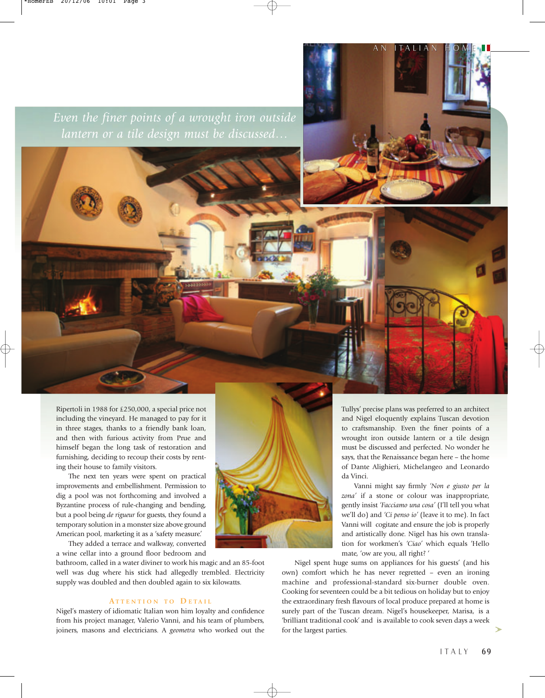*Even the finer points of a wrought iron outside lantern or a tile design must be discussed…*

Ripertoli in 1988 for £250,000, a special price not including the vineyard. He managed to pay for it in three stages, thanks to a friendly bank loan, and then with furious activity from Prue and himself began the long task of restoration and furnishing, deciding to recoup their costs by renting their house to family visitors.

The next ten years were spent on practical improvements and embellishment. Permission to dig a pool was not forthcoming and involved a Byzantine process of rule-changing and bending, but a pool being *de rigueur* for guests, they found a temporary solution in a monster size above ground American pool, marketing it as a 'safety measure.'

They added a terrace and walkway, converted a wine cellar into a ground floor bedroom and

bathroom, called in a water diviner to work his magic and an 85-foot well was dug where his stick had allegedly trembled. Electricity supply was doubled and then doubled again to six kilowatts.

## **A TTENTION TO D ETAIL**

Nigel's mastery of idiomatic Italian won him loyalty and confidence from his project manager, Valerio Vanni, and his team of plumbers, joiners, masons and electricians. A *geometra* who worked out the



Tullys' precise plans was preferred to an architect and Nigel eloquently explains Tuscan devotion to craftsmanship. Even the finer points of a wrought iron outside lantern or a tile design must be discussed and perfected. No wonder he says, that the Renaissance began here – the home of Dante Alighieri, Michelangeo and Leonardo da Vinci.

AN ITALIAN HOME

Vanni might say firmly *'Non e giusto per la zona'* if a stone or colour was inappropriate, gently insist *'Facciamo una cosa'* (I'll tell you what we'll do) and *'Ci penso io'* (leave it to me). In fact Vanni will cogitate and ensure the job is properly and artistically done. Nigel has his own translation for workmen's *'Ciao'* which equals 'Hello mate, 'ow are you, all right? '

Nigel spent huge sums on appliances for his guests' (and his own) comfort which he has never regretted – even an ironing machine and professional-standard six-burner double oven. Cooking for seventeen could be a bit tedious on holiday but to enjoy the extraordinary fresh flavours of local produce prepared at home is surely part of the Tuscan dream. Nigel's housekeeper, Marisa, is a 'brilliant traditional cook' and is available to cook seven days a week for the largest parties.